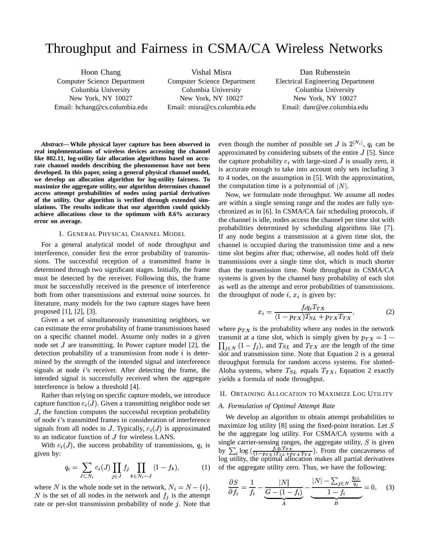# Throughput and Fairness in CSMA/CA Wireless Networks

Hoon Chang Computer Science Department Columbia University New York, NY 10027 Email: hchang@cs.columbia.edu

Vishal Misra Computer Science Department Columbia University New York, NY 10027 Email: misra@cs.columbia.edu

Dan Rubenstein Electrical Engineering Department Columbia University New York, NY 10027 Email: danr@ee.columbia.edu

*Abstract***— While physical layer capture has been observed in real implementations of wireless devices accessing the channel like 802.11, log-utility fair allocation algorithms based on accurate channel models describing the phenomenon have not been developed. In this paper, using a general physical channel model, we develop an allocation algorithm for log-utility fairness. To maximize the aggregate utility, our algorithm determines channel access attempt probabilities of nodes using partial derivatives of the utility. Our algorithm is verified through extended simulations. The results indicate that our algorithm could quickly achieve allocations close to the optimum with 8.6% accuracy error on average.**

## I. GENERAL PHYSICAL CHANNEL MODEL

For a general analytical model of node throughput and interference, consider first the error probability of transmissions. The successful reception of a transmitted frame is determined through two significant stages. Initially, the frame must be detected by the receiver. Following this, the frame must be successfully received in the presence of interference both from other transmissions and external noise sources. In literature, many models for the two capture stages have been proposed [1], [2], [3].

Given a set of simultaneously transmitting neighbors, we can estimate the error probability of frame transmissions based on a specific channel model. Assume only nodes in a given node set  $J$  are transmitting. In Power capture model [2], the detection probability of a transmission from node  $i$  is determined by the strength of the intended signal and interference signals at node  $i$ 's receiver. After detecting the frame, the intended signal is successfully received when the aggregate interference is below a threshold [4].

Rather than relying on specific capture models, we introduce capture function  $c_i(J)$ . Given a transmitting neighbor node set , the function computes the successful reception probability of node 's transmitted frames in consideration of interference signals from all nodes in J. Typically,  $c_i(J)$  is approximated to an indicator function of  $J$  for wireless LANS.

With  $c_i(J)$ , the success probability of transmissions,  $q_i$  is given by:

$$
q_i = \sum_{J \subset N_i} c_i(J) \prod_{j \in J} f_j \prod_{k \in N_i - J} (1 - f_k), \tag{1}
$$

where N is the whole node set in the network,  $N_i = N - \{i\},\$ N is the set of all nodes in the network and  $f_i$  is the attempt rate or per-slot transmission probability of node  $j$ . Note that

even though the number of possible set J is  $2^{|N_i|}$ ,  $q_i$  can be approximated by considering subsets of the entire  $J$  [5]. Since the capture probability  $c_i$  with large-sized  $J$  is usually zero, it is accurate enough to take into account only sets including 3 to 4 nodes, on the assumption in [5]. With the approximation, the computation time is a polynomial of  $|N|$ .

Now, we formulate node throughput. We assume all nodes are within a single sensing range and the nodes are fully synchronized as in [6]. In CSMA/CA fair scheduling protocols, if the channel is idle, nodes access the channel per time slot with probabilities determined by scheduling algorithms like [7]. If any node begins a transmission at a given time slot, the channel is occupied during the transmission time and a new time slot begins after that; otherwise, all nodes hold off their transmissions over a single time slot, which is much shorter than the transmission time. Node throughput in CSMA/CA systems is given by the channel busy probability of each slot as well as the attempt and error probabilities of transmissions. the throughput of node  $i, x_i$  is given by:

$$
x_i = \frac{f_i q_i T_{TX}}{(1 - p_{TX})T_{SL} + p_{TX}T_{TX}},\tag{2}
$$

where  $p_{TX}$  is the probability where any nodes in the network transmit at a time slot, which is simply given by  $p_{TX} = 1 \prod_{i \in N} (1 - f_i)$ , and  $T_{SL}$  and  $T_{TX}$  are the length of the time slot and transmission time. Note that Equation 2 is a general throughput formula for random access systems. For slotted-Aloha systems, where  $T_{SL}$  equals  $T_{TX}$ , Equation 2 exactly yields a formula of node throughput.

# II. OBTAINING ALLOCATION TO MAXIMIZE LOG UTILITY

## *A. Formulation of Optimal Attempt Rate*

We develop an algorithm to obtain attempt probabilities to maximize log utility [8] using the fixed-point iteration. Let  $S$ be the aggregate log utility. For CSMA/CA systems with a single carrier-sensing ranges, the aggregate utility,  $S$  is given by  $\sum_{i} \log \left( \frac{f_i q_i T_{TX}}{(1 - \eta_{TX})T_{CL} + \eta_{TX} T_{TX}} \right)$ . From the concaveness of log utility, the optimal allocation makes all partial derivatives of the aggregate utility zero. Thus, we have the following:

$$
\frac{\partial S}{\partial f_i} = \frac{1}{f_i} - \underbrace{\frac{|N|}{G - (1 - f_i)}}_{A} - \underbrace{\frac{|N| - \sum_{j \in N} \frac{q_{j|i}}{q_j}}{1 - f_i}}_{B} = 0, \quad (3)
$$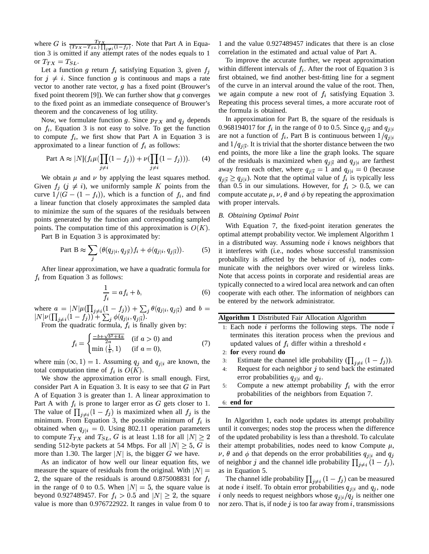where G is  $\frac{T_{TX}}{(T_{TX}-T_{SL})\prod_{i\neq i}(1-f_i)}$ . Note t na matangan sa kabupatèn Kabupatèn Kabupatèn Kabupatèn Kabupatèn Kabupatèn Kabupatèn Kabupatèn Kabupatèn Kabupatèn K  $\overline{A}$ . Note that Part A in Equation 3 is omitted if any attempt rates of the nodes equals to 1 or  $T_{TX} = T_{SL}$ .

Let a function g return  $f_i$  satisfying Equation 3, given for  $j \neq i$ . Since function g is continuous and maps a rate vector to another rate vector,  $q$  has a fixed point (Brouwer's fixed point theorem [9]). We can further show that  $g$  converges to the fixed point as an immediate consequence of Brouwer's theorem and the concaveness of log utility.

Now, we formulate function g. Since  $p_{TX}$  and  $q_i$  depends on  $f_i$ , Equation 3 is not easy to solve. To get the function to compute  $f_i$ , we first show that Part A in Equation 3 is approximated to a linear function of  $f_i$  as follows:

Part A 
$$
\approx |N| (f_i \mu(\prod_{j \neq i} (1 - f_j)) + \nu(\prod_{j \neq i} (1 - f_j))).
$$
 (4)

We obtain  $\mu$  and  $\nu$  by applying the least squares method. Given  $f_i$   $(j \neq i)$ , we uniformly sample K points from the curve  $1/(G - (1 - f_i))$ , which is a function of  $f_i$ , and find a linear function that closely approximates the sampled data to minimize the sum of the squares of the residuals between points generated by the function and corresponding sampled points. The computation time of this approximation is  $O(K)$ . With

Part B in Equation 3 is approximated by:

Part B 
$$
\approx \sum_{j} (\theta(q_{j|i}, q_{j|\bar{i}}) f_i + \phi(q_{j|i}, q_{j|\bar{i}})).
$$
 (5)

After linear approximation, we have a quadratic formula for  $f_i$  from Equation 3 as follows:

$$
\frac{1}{f_i} = af_i + b,\tag{6}
$$

where  $a = |N|\mu(\prod_{j\neq i}(1-f_j))+\sum_j \theta$  $(f_j)) + \sum_{j} \theta(q_{j|i}, q_{j|\bar{i}})$  and  $b =$  $|N|\nu(\prod_{j\neq i}(1-f_j)) + \sum_{j} \phi(q_{j|i}, q_{j|\bar{i}}).$ 

From the quadratic formula,  $f_i$  is finally given by:

$$
f_i = \begin{cases} \frac{-b + \sqrt{b^2 + 4a}}{2a} & \text{ (if } a > 0 \text{) and} \\ \min\left(\frac{1}{b}, 1\right) & \text{ (if } a = 0 \text{),} \end{cases} \tag{7}
$$

where min  $(\infty, 1) = 1$ . Assuming  $q_{j}$  and  $q_{j|i}$  are known, the total computation time of  $f_i$  is  $O(K)$ .

 We show the approximation error is small enough. First, consider Part A in Equation 3. It is easy to see that  $G$  in Part  $\frac{5!}{2}$ A of Equation 3 is greater than 1. A linear approximation to Part A with  $f_i$  is prone to larger error as  $G$  gets closer to 1. The value of  $\prod_{i \neq i} (1 - f_i)$  is maximized when all  $f_i$  is the minimum. From Equation 3, the possible minimum of  $f_i$  is obtained when  $q_{j|i} = 0$ . Using 802.11 operation parameters to compute  $T_{TX}$  and  $T_{SL}$ , G is at least 1.18 for all  $|N| \geq 2$  of the sending 512-byte packets at 54 Mbps. For all  $|N| \geq 5$ , G is their atten more than 1.30. The larger  $|N|$  is, the bigger G we have.

As an indicator of how well our linear equation fits, we measure the square of residuals from the original. With  $|N|$  = 2, the square of the residuals is around 0.875008831 for  $f_i$ in the range of 0 to 0.5. When  $|N| = 5$ , the square value is beyond 0.927489457. For  $f_i > 0.5$  and  $|N| \geq 2$ , the square value is more than 0.976722922. It ranges in value from 0 to

1 and the value 0.927489457 indicates that there is an close correlation in the estimated and actual value of Part A.

 first obtained, we find another best-fitting line for a segment within different intervals of  $f_i$ . After the root of Equation 3 is To improve the accurate further, we repeat approximation of the curve in an interval around the value of the root. Then, we again compute a new root of  $f_i$  satisfying Equation 3. Repeating this process several times, a more accurate root of the formula is obtained.

 $+\nu(\prod_{i} (1-f_i)))$ . (4) of the residuals is maximized when  $q_{j|\bar{i}}$  and  $q_{j|i}$  are farthest In approximation for Part B, the square of the residuals is 0.968194017 for  $f_i$  in the range of 0 to 0.5. Since  $q_{i|\bar{i}}$  and  $q_{i|i}$ are not a function of  $f_i$ , Part B is continuous between  $1/q_{i|i}$  $\mathbf{r}$ and  $1/q_{i\bar{i}}$ . It is trivial that the shorter distance between the two  $\mathbf{P}$ . end points, the more like a line the graph looks. The square away from each other, where  $q_{j|i} = 1$  and  $q_{j|i} = 0$  (because  $q_{j|i} \geq q_{j|i}$ ). Note that the optimal value of  $f_i$  is typically less than 0.5 in our simulations. However, for  $f_i > 0.5$ , we can compute accutate  $\mu$ ,  $\nu$ ,  $\theta$  and  $\phi$  by repeating the approximation with proper intervals.

#### *B. Obtaining Optimal Point*

With Equation 7, the fixed-point iteration generates the optimal attempt probability vector. We implement Algorithm 1 in a distributed way. Assuming node  $i$  knows neighbors that it interferes with (i.e., nodes whose successful transmission probability is affected by the behavior of  $i$ ), nodes communicate with the neighbors over wired or wireless links. Note that access points in corporate and residential areas are typically connected to a wired local area network and can often cooperate with each other. The information of neighbors can be entered by the network administrator.

|  |  | Algorithm 1 Distributed Fair Allocation Algorithm |  |  |  |
|--|--|---------------------------------------------------|--|--|--|
|--|--|---------------------------------------------------|--|--|--|

- 1: Each node  $i$  performs the following steps. The node  $i$ terminates this iteration process when the previous and updated values of  $f_i$  differ within a threshold  $\epsilon$
- 2: **for** every round **do**
- 3: Estimate the channel idle probability  $(\prod_{i \neq i} (1 f_i))$ .

and the contract of the contract of the contract of the contract of the contract of the contract of the contract of the contract of the contract of the contract of the contract of the contract of the contract of the contra

4: Request for each neighbor  $j$  to send back the estimated error probabilities  $q_{j|i}$  and  $q_j$ .

5: Compute a new attempt probability  $f_i$  with the error probabilities of the neighbors from Equation 7.

## 6: **end for**

 until it converges; nodes stop the process when the difference In Algorithm 1, each node updates its attempt probability of the updated probability is less than a threshold. To calculate their attempt probabilities, nodes need to know Compute  $\mu$ ,  $\nu$ ,  $\theta$  and  $\phi$  that depends on the error probabilities  $q_{j|i}$  and  $q_j$ of neighbor j and the channel idle probability  $\prod_{i \neq i} (1 - f_i)$ , as in Equation 5.

is at node *i* itself. To obtain error probabilities  $q_{j|i}$  and  $q_j$ , node The channel idle probability  $\prod_{i \neq i} (1 - f_i)$  can be measured i only needs to request neighbors whose  $q_{j|i}/q_j$  is neither one nor zero. That is, if node  $j$  is too far away from  $i$ , transmissions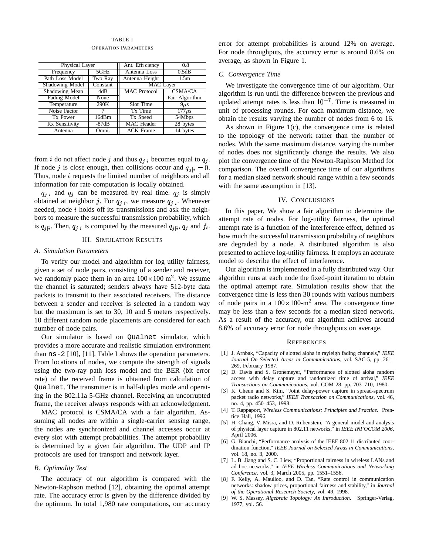## TABLE I

OPERATION PARAMETERS

| Physical Layer  |          | Ant. Efficiency     | 0.8            |  |
|-----------------|----------|---------------------|----------------|--|
| Frequency       | 5GHz     | Antenna Loss        | 0.5dB          |  |
| Path Loss Model | Two Ray  | Antenna Height      | 1.5m           |  |
| Shadowing Model | Constant | <b>MAC</b> Layer    |                |  |
| Shadowing Mean  | 4dB      | <b>MAC</b> Protocol | <b>CSMA/CA</b> |  |
| Fading Model    | None     |                     | Fair Algorithm |  |
| Temperature     | 290K     | Slot Time           | $9\mu s$       |  |
| Noise Factor    |          | Tx Time             | $177\mu s$     |  |
| Tx Power        | 16dBm    | Tx Speed            | 54Mbps         |  |
| Rx Sensitivity  | $-87dB$  | <b>MAC</b> Header   | 28 bytes       |  |
| Antenna         | Omni.    | <b>ACK Frame</b>    | 14 bytes       |  |

from *i* do not affect node *j* and thus  $q_{j|i}$  becomes equal to  $q_j$ . plot If node j is close enough, then collisions occur and  $q_{j|i} = 0$ . Thus, node  $i$  requests the limited number of neighbors and all information for rate computation is locally obtained.

 $q_{j|i}$  and  $q_j$  can be measured by real time.  $q_j$  is simply obtained at neighbor j. For  $q_{j|i}$ , we measure  $q_{j|i}$ . Whenever needed, node  $i$  holds off its transmissions and ask the neighbors to measure the successful transmission probability, which is  $q_{j|\bar{i}}$ . Then,  $q_{j|i}$  is computed by the measured  $q_{j|\bar{i}}$ ,  $q_j$  and  $f_i$ . a

#### III. SIMULATION RESULTS

## *A. Simulation Parameters*

To verify our model and algorithm for log utility fairness, given a set of node pairs, consisting of a sender and receiver, we randomly place them in an area  $100 \times 100$  m<sup>2</sup>. We assume the channel is saturated; senders always have 512-byte data packets to transmit to their associated receivers. The distance between a sender and receiver is selected in a random way but the maximum is set to 30, 10 and 5 meters respectively. 10 different random node placements are considered for each number of node pairs.

Our simulator is based on Qualnet simulator, which provides a more accurate and realistic simulation environment than ns-2 [10], [11]. Table I shows the operation parameters. From locations of nodes, we compute the strength of signals using the two-ray path loss model and the BER (bit error rate) of the received frame is obtained from calculation of Qualnet. The transmitter is in half-duplex mode and operating in the 802.11a 5-GHz channel. Receiving an uncorrupted frame, the receiver always responds with an acknowledgment.

MAC protocol is CSMA/CA with a fair algorithm. Assuming all nodes are within a single-carrier sensing range, the nodes are synchronized and channel accesses occur at every slot with attempt probabilities. The attempt probability is determined by a given fair algorithm. The UDP and IP protocols are used for transport and network layer.

#### *B. Optimality Test*

The accuracy of our algorithm is compared with the Newton-Raphson method [12], obtaining the optimal attempt rate. The accuracy error is given by the difference divided by the optimum. In total 1,980 rate computations, our accuracy error for attempt probabilities is around 12% on average. For node throughputs, the accuracy error is around 8.6% on average, as shown in Figure 1.

#### *C. Convergence Time*

We investigate the convergence time of our algorithm. Our algorithm is run until the difference between the previous and updated attempt rates is less than  $10^{-7}$ . Time is measured in unit of processing rounds. For each maximum distance, we obtain the results varying the number of nodes from 6 to 16.

 $j$  - plot the convergence time of the Newton-Raphson Method for As shown in Figure 1(c), the convergence time is related to the topology of the network rather than the number of nodes. With the same maximum distance, varying the number of nodes does not significantly change the results. We also comparison. The overall convergence time of our algorithms for a median sized network should range within a few seconds with the same assumption in [13].

## IV. CONCLUSIONS

 how much the successful transmission probability of neighbors In this paper, We show a fair algorithm to determine the attempt rate of nodes. For log-utility fairness, the optimal attempt rate is a function of the interference effect, defined as are degraded by a node. A distributed algorithm is also presented to achieve log-utility fairness. It employs an accurate model to describe the effect of interference.

Our algorithm is implemented in a fully distributed way. Our algorithm runs at each node the fixed-point iteration to obtain the optimal attempt rate. Simulation results show that the convergence time is less then 30 rounds with various numbers of node pairs in a  $100 \times 100$ -m<sup>2</sup> area. The convergence time may be less than a few seconds for a median sized network. As a result of the accuracy, our algorithm achieves around 8.6% of accuracy error for node throughputs on average.

#### **REFERENCES**

- [1] J. Arnbak, "Capacity of slotted aloha in rayleigh fading channels," *IEEE Journal On Selected Areas in Communications*, vol. SAC-5, pp. 261– 269, February 1987.
- [2] D. Davis and S. Gronemeyer, "Performance of slotted aloha random access with delay capture and randomized time of arrival," *IEEE Transactions on Communications*, vol. COM-28, pp. 703–710, 1980.
- [3] K. Cheun and S. Kim, "Joint delay-power capture in spread-spectrum packet radio networks," *IEEE Transaction on Communications*, vol. 46, no. 4, pp. 450–453, 1998.
- [4] T. Rappaport, *Wireless Communications: Principles and Practice*. Prentice Hall, 1996.
- [5] H. Chang, V. Misra, and D. Rubenstein, "A general model and analysis of physical layer capture in 802.11 networks," in *IEEE INFOCOM 2006*, April 2006.
- [6] G. Bianchi, "Performance analysis of the IEEE 802.11 distributed coordination function," *IEEE Journal on Selected Areas in Communications*, vol. 18, no. 3, 2000.
- [7] L. B. Jiang and S. C. Liew, "Proportional fairness in wireless LANs and ad hoc networks," in *IEEE Wireless Communications and Networking Conference*, vol. 3, March 2005, pp. 1551–1556.
- [8] F. Kelly, A. Maulloo, and D. Tan, "Rate control in communication networks: shadow prices, proportional fairness and stability," in *Journal of the Operational Research Society*, vol. 49, 1998.
- [9] W. S. Massey, *Algebraic Topology: An Introduction*. Springer-Verlag, 1977, vol. 56.